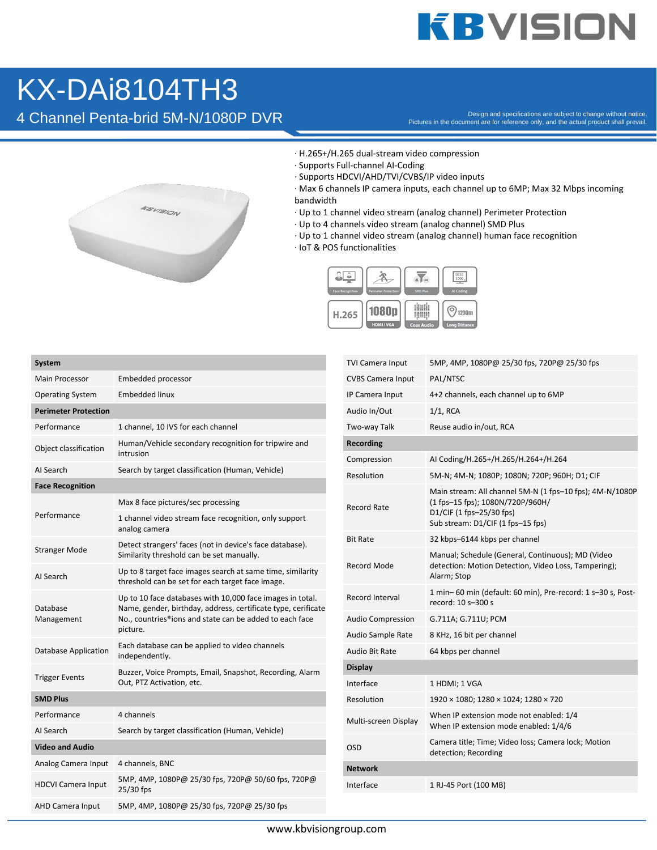## **KBVISION**

## KX-DAi8104TH3

A Channel Penta-brid 5M-N/1080P DVR DESS DESS DESS ON PROVIDIDATION DESS ON DESS ON A DESS ON DURITY ON DESS ON DURITY ON DESS ON A DESS ON DURITY ON DESCRIPTION ON DESCRIPTION ON DESCRIPTION DURITY ON DESCRIPTION DURITY O



- · H.265+/H.265 dual-stream video compression
- · Supports Full-channel AI-Coding
- · Supports HDCVI/AHD/TVI/CVBS/IP video inputs
- · Max 6 channels IP camera inputs, each channel up to 6MP; Max 32 Mbps incoming bandwidth
- · Up to 1 channel video stream (analog channel) Perimeter Protection
- · Up to 4 channels video stream (analog channel) SMD Plus
- · Up to 1 channel video stream (analog channel) human face recognition
- · IoT & POS functionalities



| <b>System</b>               |                                                                                                                                                                                                   |  |  |
|-----------------------------|---------------------------------------------------------------------------------------------------------------------------------------------------------------------------------------------------|--|--|
| <b>Main Processor</b>       | Embedded processor                                                                                                                                                                                |  |  |
| <b>Operating System</b>     | <b>Embedded linux</b>                                                                                                                                                                             |  |  |
| <b>Perimeter Protection</b> |                                                                                                                                                                                                   |  |  |
| Performance                 | 1 channel, 10 IVS for each channel                                                                                                                                                                |  |  |
| Object classification       | Human/Vehicle secondary recognition for tripwire and<br>intrusion                                                                                                                                 |  |  |
| AI Search                   | Search by target classification (Human, Vehicle)                                                                                                                                                  |  |  |
| <b>Face Recognition</b>     |                                                                                                                                                                                                   |  |  |
| Performance                 | Max 8 face pictures/sec processing                                                                                                                                                                |  |  |
|                             | 1 channel video stream face recognition, only support<br>analog camera                                                                                                                            |  |  |
| <b>Stranger Mode</b>        | Detect strangers' faces (not in device's face database).<br>Similarity threshold can be set manually.                                                                                             |  |  |
| AI Search                   | Up to 8 target face images search at same time, similarity<br>threshold can be set for each target face image.                                                                                    |  |  |
| Database<br>Management      | Up to 10 face databases with 10,000 face images in total.<br>Name, gender, birthday, address, certificate type, cerificate<br>No., countries®ions and state can be added to each face<br>picture. |  |  |
| <b>Database Application</b> | Each database can be applied to video channels<br>independently.                                                                                                                                  |  |  |
| <b>Trigger Events</b>       | Buzzer, Voice Prompts, Email, Snapshot, Recording, Alarm<br>Out, PTZ Activation, etc.                                                                                                             |  |  |
| <b>SMD Plus</b>             |                                                                                                                                                                                                   |  |  |
| Performance                 | 4 channels                                                                                                                                                                                        |  |  |
| AI Search                   | Search by target classification (Human, Vehicle)                                                                                                                                                  |  |  |
| <b>Video and Audio</b>      |                                                                                                                                                                                                   |  |  |
| Analog Camera Input         | 4 channels, BNC                                                                                                                                                                                   |  |  |
| <b>HDCVI Camera Input</b>   | 5MP, 4MP, 1080P@ 25/30 fps, 720P@ 50/60 fps, 720P@<br>25/30 fps                                                                                                                                   |  |  |
| <b>AHD Camera Input</b>     | 5MP, 4MP, 1080P@ 25/30 fps, 720P@ 25/30 fps                                                                                                                                                       |  |  |

| TVI Camera Input         | 5MP, 4MP, 1080P@ 25/30 fps, 720P@ 25/30 fps                                                                                                                   |
|--------------------------|---------------------------------------------------------------------------------------------------------------------------------------------------------------|
| <b>CVBS Camera Input</b> | PAL/NTSC                                                                                                                                                      |
| IP Camera Input          | 4+2 channels, each channel up to 6MP                                                                                                                          |
| Audio In/Out             | $1/1$ , RCA                                                                                                                                                   |
| Two-way Talk             | Reuse audio in/out, RCA                                                                                                                                       |
| <b>Recording</b>         |                                                                                                                                                               |
| Compression              | AI Coding/H.265+/H.265/H.264+/H.264                                                                                                                           |
| Resolution               | 5M-N; 4M-N; 1080P; 1080N; 720P; 960H; D1; CIF                                                                                                                 |
| Record Rate              | Main stream: All channel 5M-N (1 fps-10 fps); 4M-N/1080P<br>(1 fps-15 fps); 1080N/720P/960H/<br>D1/CIF (1 fps-25/30 fps)<br>Sub stream: D1/CIF (1 fps-15 fps) |
| <b>Bit Rate</b>          | 32 kbps-6144 kbps per channel                                                                                                                                 |
| Record Mode              | Manual; Schedule (General, Continuous); MD (Video<br>detection: Motion Detection, Video Loss, Tampering);<br>Alarm; Stop                                      |
| Record Interval          | 1 min-60 min (default: 60 min), Pre-record: 1 s-30 s, Post-<br>record: 10 s-300 s                                                                             |
| <b>Audio Compression</b> | G.711A; G.711U; PCM                                                                                                                                           |
| Audio Sample Rate        | 8 KHz, 16 bit per channel                                                                                                                                     |
| Audio Bit Rate           | 64 kbps per channel                                                                                                                                           |
| <b>Display</b>           |                                                                                                                                                               |
| Interface                | 1 HDMI; 1 VGA                                                                                                                                                 |
| Resolution               | 1920 × 1080; 1280 × 1024; 1280 × 720                                                                                                                          |
| Multi-screen Display     | When IP extension mode not enabled: 1/4<br>When IP extension mode enabled: 1/4/6                                                                              |
| OSD                      | Camera title; Time; Video loss; Camera lock; Motion<br>detection; Recording                                                                                   |
| Network                  |                                                                                                                                                               |
| Interface                | 1 RJ-45 Port (100 MB)                                                                                                                                         |